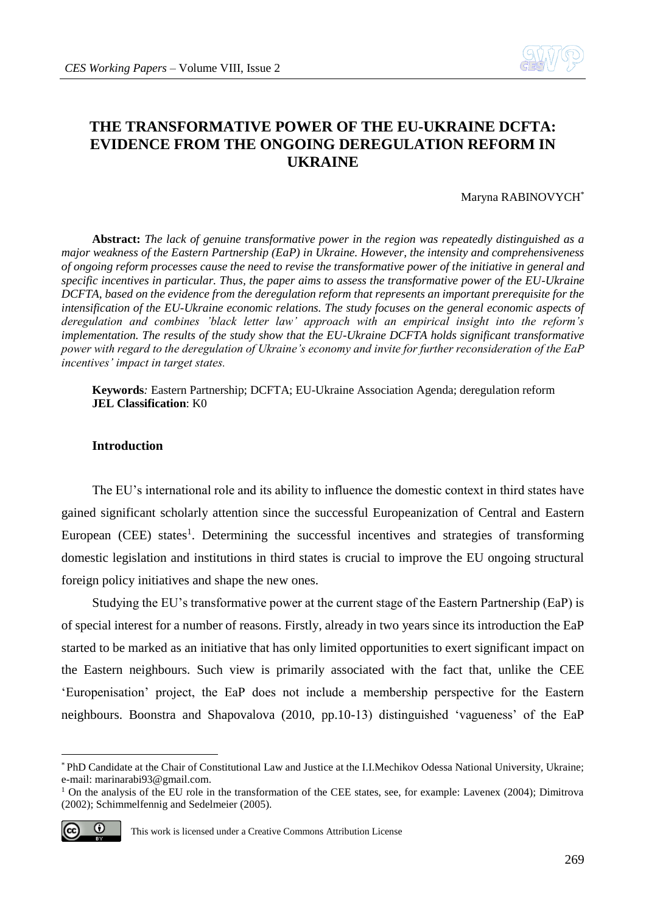

# **THE TRANSFORMATIVE POWER OF THE EU-UKRAINE DCFTA: EVIDENCE FROM THE ONGOING DEREGULATION REFORM IN UKRAINE**

#### Maryna RABINOVYCH\*

**Abstract:** *The lack of genuine transformative power in the region was repeatedly distinguished as a major weakness of the Eastern Partnership (EaP) in Ukraine. However, the intensity and comprehensiveness of ongoing reform processes cause the need to revise the transformative power of the initiative in general and specific incentives in particular. Thus, the paper aims to assess the transformative power of the EU-Ukraine DCFTA, based on the evidence from the deregulation reform that represents an important prerequisite for the intensification of the EU-Ukraine economic relations. The study focuses on the general economic aspects of deregulation and combines 'black letter law' approach with an empirical insight into the reform's implementation. The results of the study show that the EU-Ukraine DCFTA holds significant transformative power with regard to the deregulation of Ukraine's economy and invite for further reconsideration of the EaP incentives' impact in target states.* 

**Keywords***:* Eastern Partnership; DCFTA; EU-Ukraine Association Agenda; deregulation reform **JEL Classification**: K0

# **Introduction**

The EU's international role and its ability to influence the domestic context in third states have gained significant scholarly attention since the successful Europeanization of Central and Eastern European (CEE) states<sup>1</sup>. Determining the successful incentives and strategies of transforming domestic legislation and institutions in third states is crucial to improve the EU ongoing structural foreign policy initiatives and shape the new ones.

Studying the EU's transformative power at the current stage of the Eastern Partnership (EaP) is of special interest for a number of reasons. Firstly, already in two years since its introduction the EaP started to be marked as an initiative that has only limited opportunities to exert significant impact on the Eastern neighbours. Such view is primarily associated with the fact that, unlike the CEE 'Europenisation' project, the EaP does not include a membership perspective for the Eastern neighbours. Boonstra and Shapovalova (2010, pp.10-13) distinguished 'vagueness' of the EaP

<sup>&</sup>lt;sup>1</sup> On the analysis of the EU role in the transformation of the CEE states, see, for example: Lavenex (2004); Dimitrova (2002); Schimmelfennig and Sedelmeier (2005).



<sup>\*</sup> PhD Candidate at the Chair of Constitutional Law and Justice at the I.I.Mechikov Odessa National University, Ukraine; e-mail: marinarabi93@gmail.com.

This work is licensed under a Creative Commons Attribution License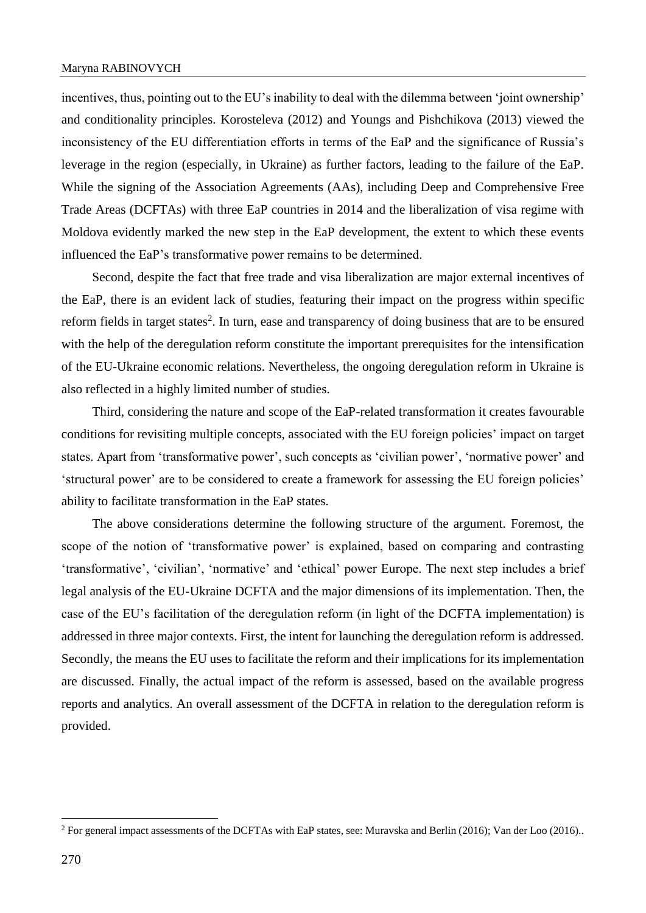incentives, thus, pointing out to the EU's inability to deal with the dilemma between 'joint ownership' and conditionality principles. Korosteleva (2012) and Youngs and Pishchikova (2013) viewed the inconsistency of the EU differentiation efforts in terms of the EaP and the significance of Russia's leverage in the region (especially, in Ukraine) as further factors, leading to the failure of the EaP. While the signing of the Association Agreements (AAs), including Deep and Comprehensive Free Trade Areas (DCFTAs) with three EaP countries in 2014 and the liberalization of visa regime with Moldova evidently marked the new step in the EaP development, the extent to which these events influenced the EaP's transformative power remains to be determined.

Second, despite the fact that free trade and visa liberalization are major external incentives of the EaP, there is an evident lack of studies, featuring their impact on the progress within specific reform fields in target states<sup>2</sup>. In turn, ease and transparency of doing business that are to be ensured with the help of the deregulation reform constitute the important prerequisites for the intensification of the EU-Ukraine economic relations. Nevertheless, the ongoing deregulation reform in Ukraine is also reflected in a highly limited number of studies.

Third, considering the nature and scope of the EaP-related transformation it creates favourable conditions for revisiting multiple concepts, associated with the EU foreign policies' impact on target states. Apart from 'transformative power', such concepts as 'civilian power', 'normative power' and 'structural power' are to be considered to create a framework for assessing the EU foreign policies' ability to facilitate transformation in the EaP states.

The above considerations determine the following structure of the argument. Foremost, the scope of the notion of 'transformative power' is explained, based on comparing and contrasting 'transformative', 'civilian', 'normative' and 'ethical' power Europe. The next step includes a brief legal analysis of the EU-Ukraine DCFTA and the major dimensions of its implementation. Then, the case of the EU's facilitation of the deregulation reform (in light of the DCFTA implementation) is addressed in three major contexts. First, the intent for launching the deregulation reform is addressed. Secondly, the means the EU uses to facilitate the reform and their implications for its implementation are discussed. Finally, the actual impact of the reform is assessed, based on the available progress reports and analytics. An overall assessment of the DCFTA in relation to the deregulation reform is provided.

<sup>&</sup>lt;sup>2</sup> For general impact assessments of the DCFTAs with EaP states, see: Muravska and Berlin (2016); Van der Loo (2016)..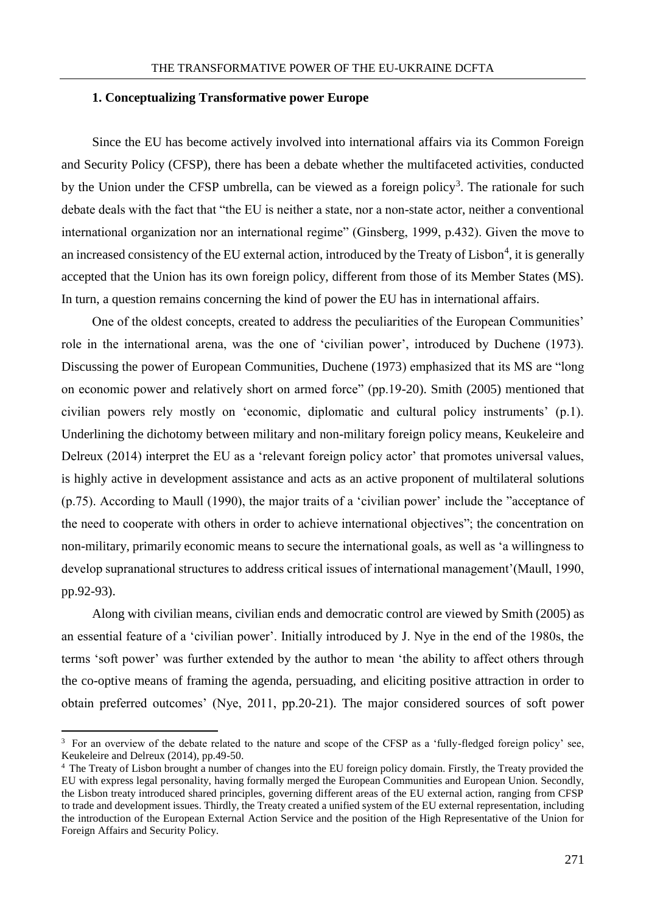#### **1. Conceptualizing Transformative power Europe**

Since the EU has become actively involved into international affairs via its Common Foreign and Security Policy (CFSP), there has been a debate whether the multifaceted activities, conducted by the Union under the CFSP umbrella, can be viewed as a foreign policy<sup>3</sup>. The rationale for such debate deals with the fact that "the EU is neither a state, nor a non-state actor, neither a conventional international organization nor an international regime" (Ginsberg, 1999, p.432). Given the move to an increased consistency of the EU external action, introduced by the Treaty of Lisbon<sup>4</sup>, it is generally accepted that the Union has its own foreign policy, different from those of its Member States (MS). In turn, a question remains concerning the kind of power the EU has in international affairs.

One of the oldest concepts, created to address the peculiarities of the European Communities' role in the international arena, was the one of 'civilian power', introduced by Duchene (1973). Discussing the power of European Communities, Duchene (1973) emphasized that its MS are "long on economic power and relatively short on armed force" (pp.19-20). Smith (2005) mentioned that civilian powers rely mostly on 'economic, diplomatic and cultural policy instruments' (p.1). Underlining the dichotomy between military and non-military foreign policy means, Keukeleire and Delreux (2014) interpret the EU as a 'relevant foreign policy actor' that promotes universal values, is highly active in development assistance and acts as an active proponent of multilateral solutions (p.75). According to Maull (1990), the major traits of a 'civilian power' include the "acceptance of the need to cooperate with others in order to achieve international objectives"; the concentration on non-military, primarily economic means to secure the international goals, as well as 'a willingness to develop supranational structures to address critical issues of international management'(Maull, 1990, pp.92-93).

Along with civilian means, civilian ends and democratic control are viewed by Smith (2005) as an essential feature of a 'civilian power'. Initially introduced by J. Nye in the end of the 1980s, the terms 'soft power' was further extended by the author to mean 'the ability to affect others through the co-optive means of framing the agenda, persuading, and eliciting positive attraction in order to obtain preferred outcomes' (Nye, 2011, pp.20-21). The major considered sources of soft power

<u>.</u>

<sup>&</sup>lt;sup>3</sup> For an overview of the debate related to the nature and scope of the CFSP as a 'fully-fledged foreign policy' see, Keukeleire and Delreux (2014), pp.49-50.

<sup>&</sup>lt;sup>4</sup> The Treaty of Lisbon brought a number of changes into the EU foreign policy domain. Firstly, the Treaty provided the EU with express legal personality, having formally merged the European Communities and European Union. Secondly, the Lisbon treaty introduced shared principles, governing different areas of the EU external action, ranging from CFSP to trade and development issues. Thirdly, the Treaty created a unified system of the EU external representation, including the introduction of the European External Action Service and the position of the High Representative of the Union for Foreign Affairs and Security Policy.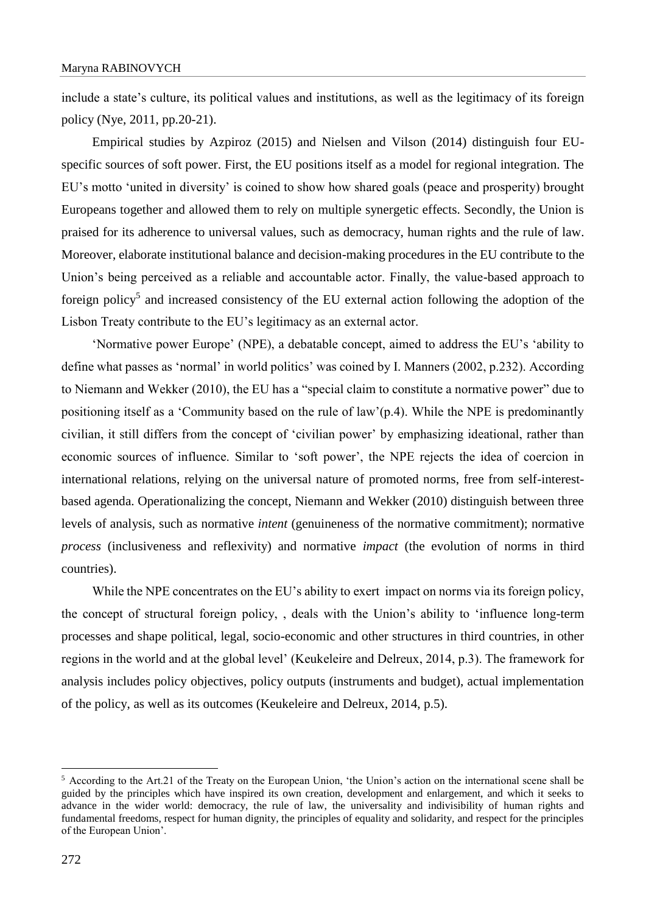include a state's culture, its political values and institutions, as well as the legitimacy of its foreign policy (Nye, 2011, pp.20-21).

Empirical studies by Azpiroz (2015) and Nielsen and Vilson (2014) distinguish four EUspecific sources of soft power. First, the EU positions itself as a model for regional integration. The EU's motto 'united in diversity' is coined to show how shared goals (peace and prosperity) brought Europeans together and allowed them to rely on multiple synergetic effects. Secondly, the Union is praised for its adherence to universal values, such as democracy, human rights and the rule of law. Moreover, elaborate institutional balance and decision-making procedures in the EU contribute to the Union's being perceived as a reliable and accountable actor. Finally, the value-based approach to foreign policy<sup>5</sup> and increased consistency of the EU external action following the adoption of the Lisbon Treaty contribute to the EU's legitimacy as an external actor.

'Normative power Europe' (NPE), a debatable concept, aimed to address the EU's 'ability to define what passes as 'normal' in world politics' was coined by I. Manners (2002, p.232). According to Niemann and Wekker (2010), the EU has a "special claim to constitute a normative power" due to positioning itself as a 'Community based on the rule of law'(p.4). While the NPE is predominantly civilian, it still differs from the concept of 'civilian power' by emphasizing ideational, rather than economic sources of influence. Similar to 'soft power', the NPE rejects the idea of coercion in international relations, relying on the universal nature of promoted norms, free from self-interestbased agenda. Operationalizing the concept, Niemann and Wekker (2010) distinguish between three levels of analysis, such as normative *intent* (genuineness of the normative commitment); normative *process* (inclusiveness and reflexivity) and normative *impact* (the evolution of norms in third countries).

While the NPE concentrates on the EU's ability to exert impact on norms via its foreign policy, the concept of structural foreign policy, , deals with the Union's ability to 'influence long-term processes and shape political, legal, socio-economic and other structures in third countries, in other regions in the world and at the global level' (Keukeleire and Delreux, 2014, p.3). The framework for analysis includes policy objectives, policy outputs (instruments and budget), actual implementation of the policy, as well as its outcomes (Keukeleire and Delreux, 2014, p.5).

<u>.</u>

<sup>5</sup> According to the Art.21 of the Treaty on the European Union, 'the Union's action on the international scene shall be guided by the principles which have inspired its own creation, development and enlargement, and which it seeks to advance in the wider world: democracy, the rule of law, the universality and indivisibility of human rights and fundamental freedoms, respect for human dignity, the principles of equality and solidarity, and respect for the principles of the European Union'.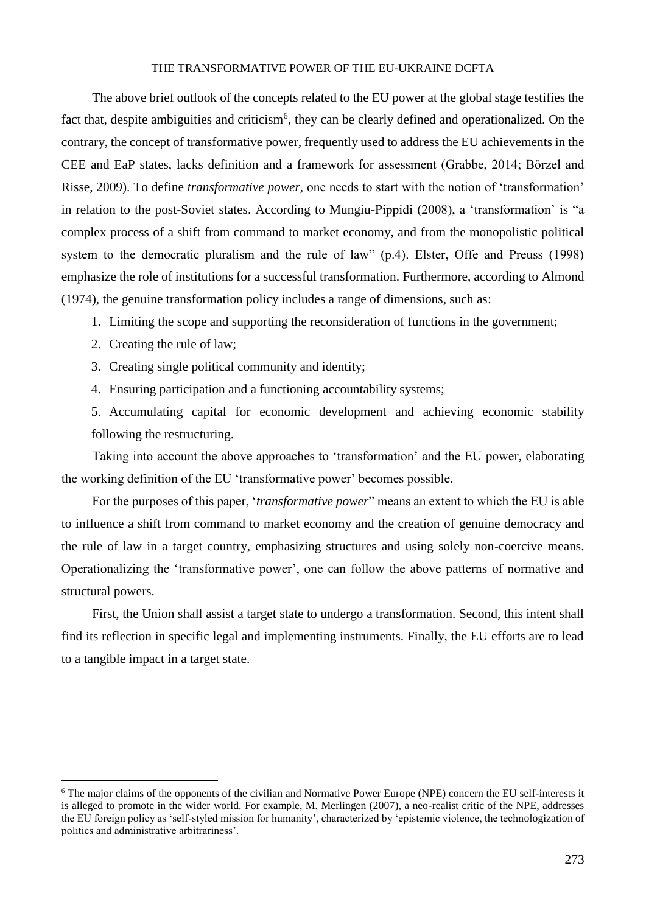#### THE TRANSFORMATIVE POWER OF THE EU-UKRAINE DCFTA

The above brief outlook of the concepts related to the EU power at the global stage testifies the fact that, despite ambiguities and criticism<sup>6</sup>, they can be clearly defined and operationalized. On the contrary, the concept of transformative power, frequently used to address the EU achievements in the CEE and EaP states, lacks definition and a framework for assessment (Grabbe, 2014; Börzel and Risse, 2009). To define *transformative power,* one needs to start with the notion of 'transformation' in relation to the post-Soviet states. According to Mungiu-Pippidi (2008), a 'transformation' is "a complex process of a shift from command to market economy, and from the monopolistic political system to the democratic pluralism and the rule of law" (p.4). Elster, Offe and Preuss (1998) emphasize the role of institutions for a successful transformation. Furthermore, according to Almond (1974), the genuine transformation policy includes a range of dimensions, such as:

- 1. Limiting the scope and supporting the reconsideration of functions in the government;
- 2. Creating the rule of law;

1

3. Creating single political community and identity;

4. Ensuring participation and a functioning accountability systems;

5. Accumulating capital for economic development and achieving economic stability following the restructuring.

Taking into account the above approaches to 'transformation' and the EU power, elaborating the working definition of the EU 'transformative power' becomes possible.

For the purposes of this paper, '*transformative power*" means an extent to which the EU is able to influence a shift from command to market economy and the creation of genuine democracy and the rule of law in a target country, emphasizing structures and using solely non-coercive means. Operationalizing the 'transformative power', one can follow the above patterns of normative and structural powers.

First, the Union shall assist a target state to undergo a transformation. Second, this intent shall find its reflection in specific legal and implementing instruments. Finally, the EU efforts are to lead to a tangible impact in a target state.

<sup>6</sup> The major claims of the opponents of the civilian and Normative Power Europe (NPE) concern the EU self-interests it is alleged to promote in the wider world. For example, M. Merlingen (2007), a neo-realist critic of the NPE, addresses the EU foreign policy as 'self-styled mission for humanity', characterized by 'epistemic violence, the technologization of politics and administrative arbitrariness'.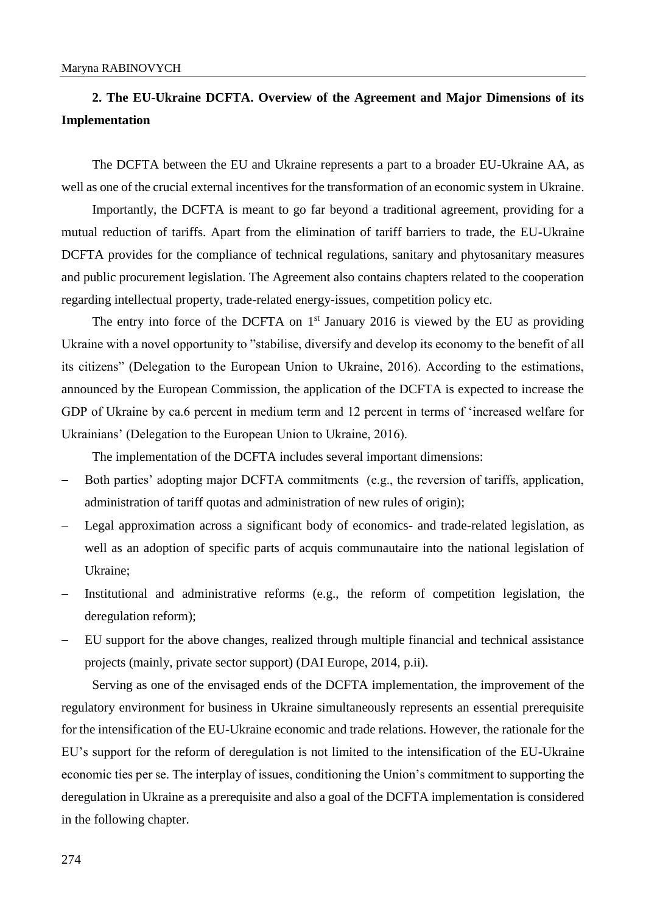# **2. The EU-Ukraine DCFTA. Overview of the Agreement and Major Dimensions of its Implementation**

The DCFTA between the EU and Ukraine represents a part to a broader EU-Ukraine AA, as well as one of the crucial external incentives for the transformation of an economic system in Ukraine.

Importantly, the DCFTA is meant to go far beyond a traditional agreement, providing for a mutual reduction of tariffs. Apart from the elimination of tariff barriers to trade, the EU-Ukraine DCFTA provides for the compliance of technical regulations, sanitary and phytosanitary measures and public procurement legislation. The Agreement also contains chapters related to the cooperation regarding intellectual property, trade-related energy-issues, competition policy etc.

The entry into force of the DCFTA on  $1<sup>st</sup>$  January 2016 is viewed by the EU as providing Ukraine with a novel opportunity to "stabilise, diversify and develop its economy to the benefit of all its citizens" (Delegation to the European Union to Ukraine, 2016). According to the estimations, announced by the European Commission, the application of the DCFTA is expected to increase the GDP of Ukraine by ca.6 percent in medium term and 12 percent in terms of 'increased welfare for Ukrainians' (Delegation to the European Union to Ukraine, 2016).

The implementation of the DCFTA includes several important dimensions:

- Both parties' adopting major DCFTA commitments (e.g., the reversion of tariffs, application, administration of tariff quotas and administration of new rules of origin);
- Legal approximation across a significant body of economics- and trade-related legislation, as well as an adoption of specific parts of acquis communautaire into the national legislation of Ukraine;
- Institutional and administrative reforms (e.g., the reform of competition legislation, the deregulation reform);
- EU support for the above changes, realized through multiple financial and technical assistance projects (mainly, private sector support) (DAI Europe, 2014, p.ii).

Serving as one of the envisaged ends of the DCFTA implementation, the improvement of the regulatory environment for business in Ukraine simultaneously represents an essential prerequisite for the intensification of the EU-Ukraine economic and trade relations. However, the rationale for the EU's support for the reform of deregulation is not limited to the intensification of the EU-Ukraine economic ties per se. The interplay of issues, conditioning the Union's commitment to supporting the deregulation in Ukraine as a prerequisite and also a goal of the DCFTA implementation is considered in the following chapter.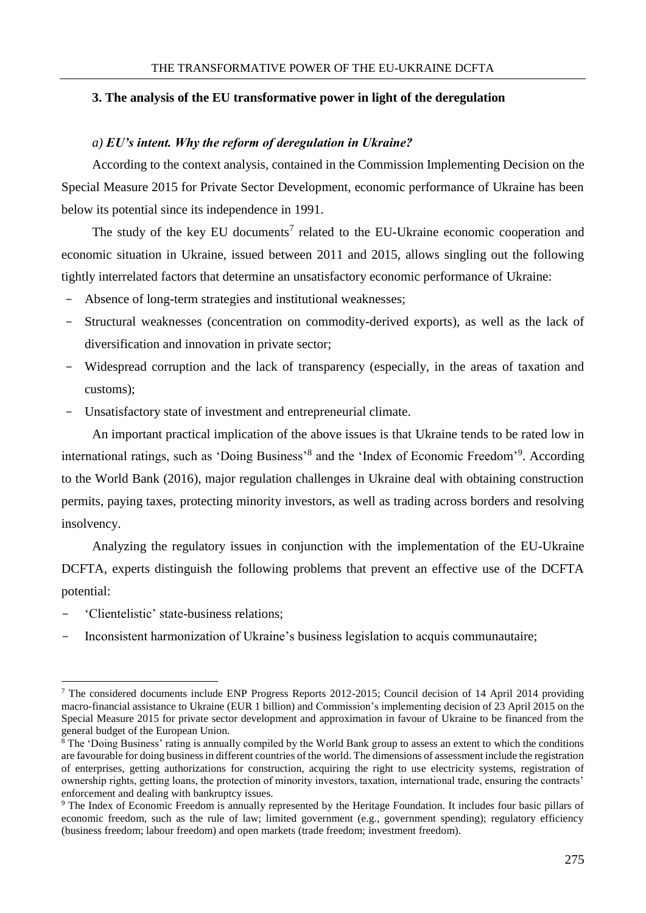# **3. The analysis of the EU transformative power in light of the deregulation**

# *a) EU's intent. Why the reform of deregulation in Ukraine?*

According to the context analysis, contained in the Commission Implementing Decision on the Special Measure 2015 for Private Sector Development, economic performance of Ukraine has been below its potential since its independence in 1991.

The study of the key EU documents<sup>7</sup> related to the EU-Ukraine economic cooperation and economic situation in Ukraine, issued between 2011 and 2015, allows singling out the following tightly interrelated factors that determine an unsatisfactory economic performance of Ukraine:

- Absence of long-term strategies and institutional weaknesses;
- Structural weaknesses (concentration on commodity-derived exports), as well as the lack of diversification and innovation in private sector;
- Widespread corruption and the lack of transparency (especially, in the areas of taxation and customs);
- Unsatisfactory state of investment and entrepreneurial climate.

An important practical implication of the above issues is that Ukraine tends to be rated low in international ratings, such as 'Doing Business'<sup>8</sup> and the 'Index of Economic Freedom'<sup>9</sup>. According to the World Bank (2016), major regulation challenges in Ukraine deal with obtaining construction permits, paying taxes, protecting minority investors, as well as trading across borders and resolving insolvency.

Analyzing the regulatory issues in conjunction with the implementation of the EU-Ukraine DCFTA, experts distinguish the following problems that prevent an effective use of the DCFTA potential:

- 'Clientelistic' state-business relations;

1

Inconsistent harmonization of Ukraine's business legislation to acquis communautaire;

<sup>7</sup> The considered documents include ENP Progress Reports 2012-2015; Council decision of 14 April 2014 providing macro-financial assistance to Ukraine (EUR 1 billion) and Commission's implementing decision of 23 April 2015 on the Special Measure 2015 for private sector development and approximation in favour of Ukraine to be financed from the general budget of the European Union.

<sup>8</sup> The 'Doing Business' rating is annually compiled by the World Bank group to assess an extent to which the conditions are favourable for doing business in different countries of the world. The dimensions of assessment include the registration of enterprises, getting authorizations for construction, acquiring the right to use electricity systems, registration of ownership rights, getting loans, the protection of minority investors, taxation, international trade, ensuring the contracts' enforcement and dealing with bankruptcy issues.

<sup>9</sup> The Index of Economic Freedom is annually represented by the Heritage Foundation. It includes four basic pillars of economic freedom, such as the rule of law; limited government (e.g., government spending); regulatory efficiency (business freedom; labour freedom) and open markets (trade freedom; investment freedom).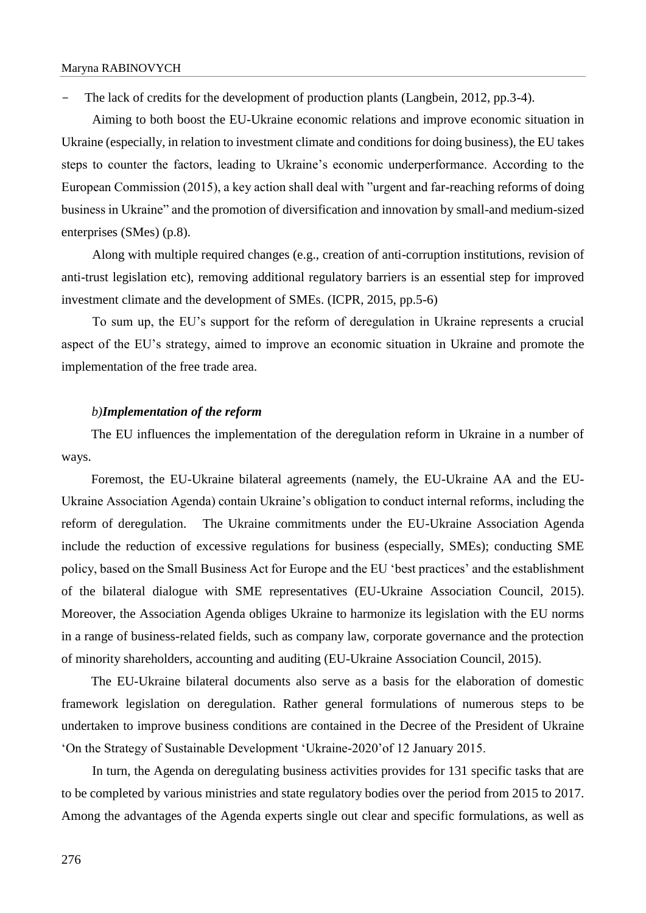The lack of credits for the development of production plants (Langbein, 2012, pp.3-4).

Aiming to both boost the EU-Ukraine economic relations and improve economic situation in Ukraine (especially, in relation to investment climate and conditions for doing business), the EU takes steps to counter the factors, leading to Ukraine's economic underperformance. According to the European Commission (2015), a key action shall deal with "urgent and far-reaching reforms of doing business in Ukraine" and the promotion of diversification and innovation by small-and medium-sized enterprises (SMes) (p.8).

Along with multiple required changes (e.g., creation of anti-corruption institutions, revision of anti-trust legislation etc), removing additional regulatory barriers is an essential step for improved investment climate and the development of SMEs. (ICPR, 2015, pp.5-6)

To sum up, the EU's support for the reform of deregulation in Ukraine represents a crucial aspect of the EU's strategy, aimed to improve an economic situation in Ukraine and promote the implementation of the free trade area.

## *b)Implementation of the reform*

The EU influences the implementation of the deregulation reform in Ukraine in a number of ways.

Foremost, the EU-Ukraine bilateral agreements (namely, the EU-Ukraine AA and the EU-Ukraine Association Agenda) contain Ukraine's obligation to conduct internal reforms, including the reform of deregulation. The Ukraine commitments under the EU-Ukraine Association Agenda include the reduction of excessive regulations for business (especially, SMEs); conducting SME policy, based on the Small Business Act for Europe and the EU 'best practices' and the establishment of the bilateral dialogue with SME representatives (EU-Ukraine Association Council, 2015). Moreover, the Association Agenda obliges Ukraine to harmonize its legislation with the EU norms in a range of business-related fields, such as company law, corporate governance and the protection of minority shareholders, accounting and auditing (EU-Ukraine Association Council, 2015).

The EU-Ukraine bilateral documents also serve as a basis for the elaboration of domestic framework legislation on deregulation. Rather general formulations of numerous steps to be undertaken to improve business conditions are contained in the Decree of the President of Ukraine 'On the Strategy of Sustainable Development 'Ukraine-2020'of 12 January 2015.

In turn, the Agenda on deregulating business activities provides for 131 specific tasks that are to be completed by various ministries and state regulatory bodies over the period from 2015 to 2017. Among the advantages of the Agenda experts single out clear and specific formulations, as well as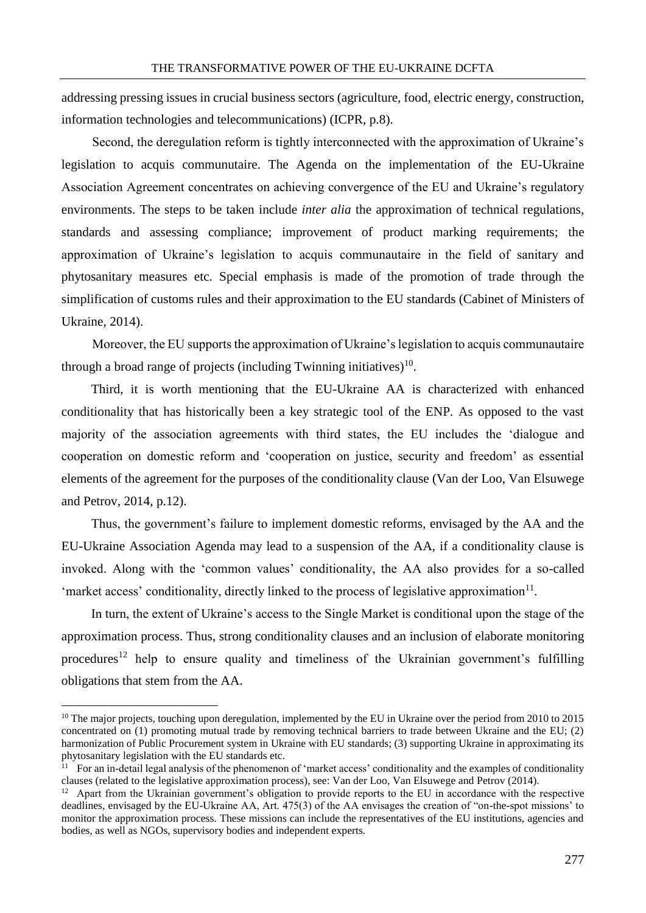addressing pressing issues in crucial business sectors (agriculture, food, electric energy, construction, information technologies and telecommunications) (ICPR, p.8).

Second, the deregulation reform is tightly interconnected with the approximation of Ukraine's legislation to acquis communutaire. The Agenda on the implementation of the EU-Ukraine Association Agreement concentrates on achieving convergence of the EU and Ukraine's regulatory environments. The steps to be taken include *inter alia* the approximation of technical regulations, standards and assessing compliance; improvement of product marking requirements; the approximation of Ukraine's legislation to acquis communautaire in the field of sanitary and phytosanitary measures etc. Special emphasis is made of the promotion of trade through the simplification of customs rules and their approximation to the EU standards (Cabinet of Ministers of Ukraine, 2014).

Moreover, the EU supports the approximation of Ukraine's legislation to acquis communautaire through a broad range of projects (including Twinning initiatives) $10$ .

Third, it is worth mentioning that the EU-Ukraine AA is characterized with enhanced conditionality that has historically been a key strategic tool of the ENP. As opposed to the vast majority of the association agreements with third states, the EU includes the 'dialogue and cooperation on domestic reform and 'cooperation on justice, security and freedom' as essential elements of the agreement for the purposes of the conditionality clause (Van der Loo, Van Elsuwege and Petrov, 2014, p.12).

Thus, the government's failure to implement domestic reforms, envisaged by the AA and the EU-Ukraine Association Agenda may lead to a suspension of the AA, if a conditionality clause is invoked. Along with the 'common values' conditionality, the AA also provides for a so-called 'market access' conditionality, directly linked to the process of legislative approximation<sup>11</sup>.

In turn, the extent of Ukraine's access to the Single Market is conditional upon the stage of the approximation process. Thus, strong conditionality clauses and an inclusion of elaborate monitoring procedures<sup>12</sup> help to ensure quality and timeliness of the Ukrainian government's fulfilling obligations that stem from the AA.

 $10$  The major projects, touching upon deregulation, implemented by the EU in Ukraine over the period from 2010 to 2015 concentrated on (1) promoting mutual trade by removing technical barriers to trade between Ukraine and the EU; (2) harmonization of Public Procurement system in Ukraine with EU standards; (3) supporting Ukraine in approximating its phytosanitary legislation with the EU standards etc.

 $11$  For an in-detail legal analysis of the phenomenon of 'market access' conditionality and the examples of conditionality clauses (related to the legislative approximation process), see: Van der Loo, Van Elsuwege and Petrov (2014).

<sup>&</sup>lt;sup>12</sup> Apart from the Ukrainian government's obligation to provide reports to the EU in accordance with the respective deadlines, envisaged by the EU-Ukraine AA, Art. 475(3) of the AA envisages the creation of "on-the-spot missions' to monitor the approximation process. These missions can include the representatives of the EU institutions, agencies and bodies, as well as NGOs, supervisory bodies and independent experts.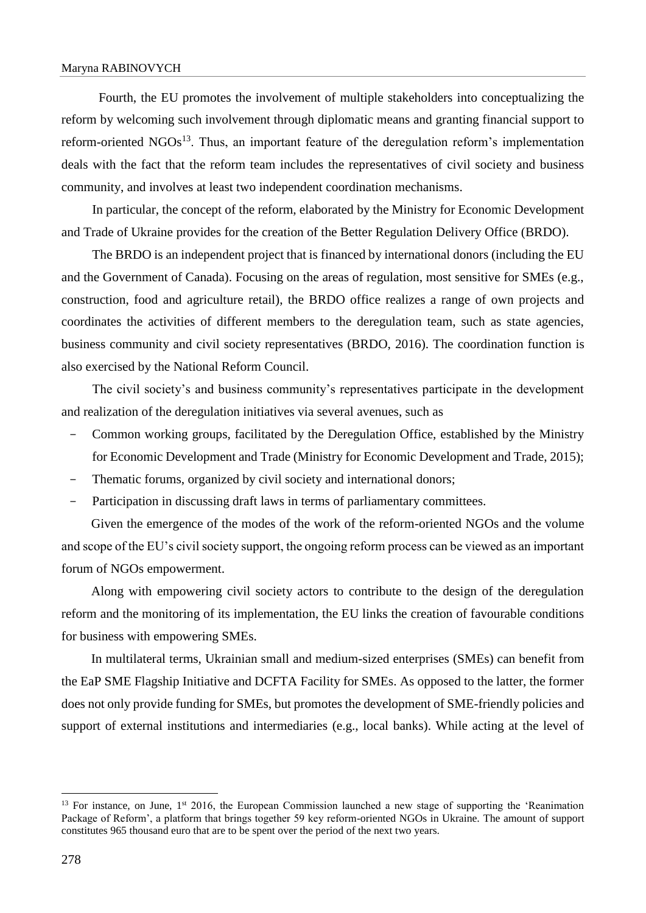#### Maryna RABINOVYCH

 Fourth, the EU promotes the involvement of multiple stakeholders into conceptualizing the reform by welcoming such involvement through diplomatic means and granting financial support to reform-oriented  $NGOs<sup>13</sup>$ . Thus, an important feature of the deregulation reform's implementation deals with the fact that the reform team includes the representatives of civil society and business community, and involves at least two independent coordination mechanisms.

In particular, the concept of the reform, elaborated by the Ministry for Economic Development and Trade of Ukraine provides for the creation of the Better Regulation Delivery Office (BRDO).

The BRDO is an independent project that is financed by international donors (including the EU and the Government of Canada). Focusing on the areas of regulation, most sensitive for SMEs (e.g., construction, food and agriculture retail), the BRDO office realizes a range of own projects and coordinates the activities of different members to the deregulation team, such as state agencies, business community and civil society representatives (BRDO, 2016). The coordination function is also exercised by the National Reform Council.

The civil society's and business community's representatives participate in the development and realization of the deregulation initiatives via several avenues, such as

- Common working groups, facilitated by the Deregulation Office, established by the Ministry for Economic Development and Trade (Ministry for Economic Development and Trade, 2015);
- Thematic forums, organized by civil society and international donors;
- Participation in discussing draft laws in terms of parliamentary committees.

Given the emergence of the modes of the work of the reform-oriented NGOs and the volume and scope of the EU's civil society support, the ongoing reform process can be viewed as an important forum of NGOs empowerment.

Along with empowering civil society actors to contribute to the design of the deregulation reform and the monitoring of its implementation, the EU links the creation of favourable conditions for business with empowering SMEs.

In multilateral terms, Ukrainian small and medium-sized enterprises (SMEs) can benefit from the EaP SME Flagship Initiative and DCFTA Facility for SMEs. As opposed to the latter, the former does not only provide funding for SMEs, but promotes the development of SME-friendly policies and support of external institutions and intermediaries (e.g., local banks). While acting at the level of

<sup>&</sup>lt;sup>13</sup> For instance, on June, 1<sup>st</sup> 2016, the European Commission launched a new stage of supporting the 'Reanimation Package of Reform', a platform that brings together 59 key reform-oriented NGOs in Ukraine. The amount of support constitutes 965 thousand euro that are to be spent over the period of the next two years.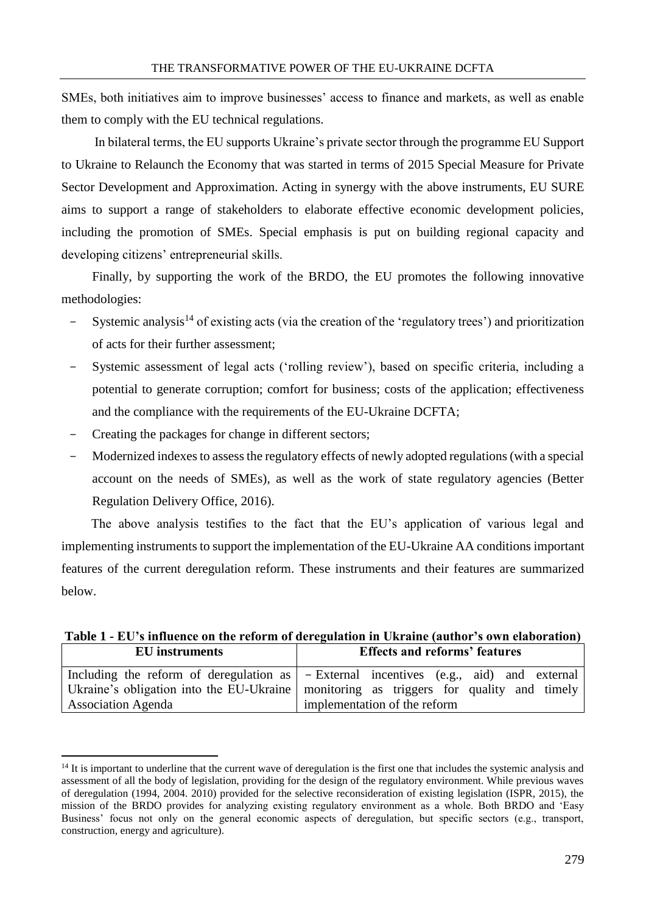SMEs, both initiatives aim to improve businesses' access to finance and markets, as well as enable them to comply with the EU technical regulations.

In bilateral terms, the EU supports Ukraine's private sector through the programme EU Support to Ukraine to Relaunch the Economy that was started in terms of 2015 Special Measure for Private Sector Development and Approximation. Acting in synergy with the above instruments, EU SURE aims to support a range of stakeholders to elaborate effective economic development policies, including the promotion of SMEs. Special emphasis is put on building regional capacity and developing citizens' entrepreneurial skills.

Finally, by supporting the work of the BRDO, the EU promotes the following innovative methodologies:

- Systemic analysis<sup>14</sup> of existing acts (via the creation of the 'regulatory trees') and prioritization of acts for their further assessment;
- Systemic assessment of legal acts ('rolling review'), based on specific criteria, including a potential to generate corruption; comfort for business; costs of the application; effectiveness and the compliance with the requirements of the EU-Ukraine DCFTA;
- Creating the packages for change in different sectors;

1

- Modernized indexes to assess the regulatory effects of newly adopted regulations (with a special account on the needs of SMEs), as well as the work of state regulatory agencies (Better Regulation Delivery Office, 2016).

The above analysis testifies to the fact that the EU's application of various legal and implementing instruments to support the implementation of the EU-Ukraine AA conditions important features of the current deregulation reform. These instruments and their features are summarized below.

| <b>EU</b> instruments | <b>Effects and reforms' features</b>                                                     |  |
|-----------------------|------------------------------------------------------------------------------------------|--|
|                       |                                                                                          |  |
|                       | Including the reform of deregulation as   - External incentives (e.g., aid) and external |  |
|                       | Ukraine's obligation into the EU-Ukraine   monitoring as triggers for quality and timely |  |
| Association Agenda    | implementation of the reform                                                             |  |

**Table 1 - EU's influence on the reform of deregulation in Ukraine (author's own elaboration)**

<sup>&</sup>lt;sup>14</sup> It is important to underline that the current wave of deregulation is the first one that includes the systemic analysis and assessment of all the body of legislation, providing for the design of the regulatory environment. While previous waves of deregulation (1994, 2004. 2010) provided for the selective reconsideration of existing legislation (ISPR, 2015), the mission of the BRDO provides for analyzing existing regulatory environment as a whole. Both BRDO and 'Easy Business' focus not only on the general economic aspects of deregulation, but specific sectors (e.g., transport, construction, energy and agriculture).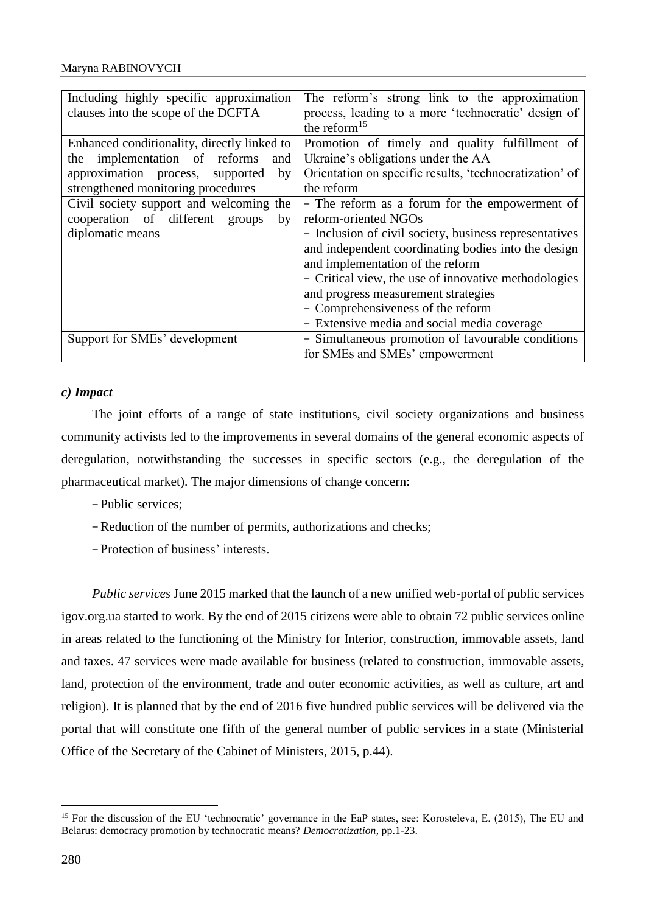| Including highly specific approximation<br>clauses into the scope of the DCFTA | The reform's strong link to the approximation<br>process, leading to a more 'technocratic' design of<br>the reform $15$ |
|--------------------------------------------------------------------------------|-------------------------------------------------------------------------------------------------------------------------|
| Enhanced conditionality, directly linked to                                    | Promotion of timely and quality fulfillment of                                                                          |
| the implementation of reforms<br>and                                           | Ukraine's obligations under the AA                                                                                      |
| approximation process,<br>by<br>supported                                      | Orientation on specific results, 'technocratization' of                                                                 |
| strengthened monitoring procedures                                             | the reform                                                                                                              |
| Civil society support and welcoming the                                        | - The reform as a forum for the empowerment of                                                                          |
| cooperation of different<br>groups<br>by                                       | reform-oriented NGOs                                                                                                    |
| diplomatic means                                                               | - Inclusion of civil society, business representatives                                                                  |
|                                                                                | and independent coordinating bodies into the design                                                                     |
|                                                                                | and implementation of the reform                                                                                        |
|                                                                                | - Critical view, the use of innovative methodologies                                                                    |
|                                                                                | and progress measurement strategies                                                                                     |
|                                                                                | - Comprehensiveness of the reform                                                                                       |
|                                                                                | - Extensive media and social media coverage                                                                             |
| Support for SMEs' development                                                  | - Simultaneous promotion of favourable conditions                                                                       |
|                                                                                | for SMEs and SMEs' empowerment                                                                                          |

# *c) Impact*

The joint efforts of a range of state institutions, civil society organizations and business community activists led to the improvements in several domains of the general economic aspects of deregulation, notwithstanding the successes in specific sectors (e.g., the deregulation of the pharmaceutical market). The major dimensions of change concern:

- -Public services;
- -Reduction of the number of permits, authorizations and checks;
- -Protection of business' interests.

*Public services* June 2015 marked that the launch of a new unified web-portal of public services igov.org.ua started to work. By the end of 2015 citizens were able to obtain 72 public services online in areas related to the functioning of the Ministry for Interior, construction, immovable assets, land and taxes. 47 services were made available for business (related to construction, immovable assets, land, protection of the environment, trade and outer economic activities, as well as culture, art and religion). It is planned that by the end of 2016 five hundred public services will be delivered via the portal that will constitute one fifth of the general number of public services in a state (Ministerial Office of the Secretary of the Cabinet of Ministers, 2015, p.44).

<u>.</u>

<sup>&</sup>lt;sup>15</sup> For the discussion of the EU 'technocratic' governance in the EaP states, see: Korosteleva, E. (2015), The EU and Belarus: democracy promotion by technocratic means? *Democratization*, pp.1-23.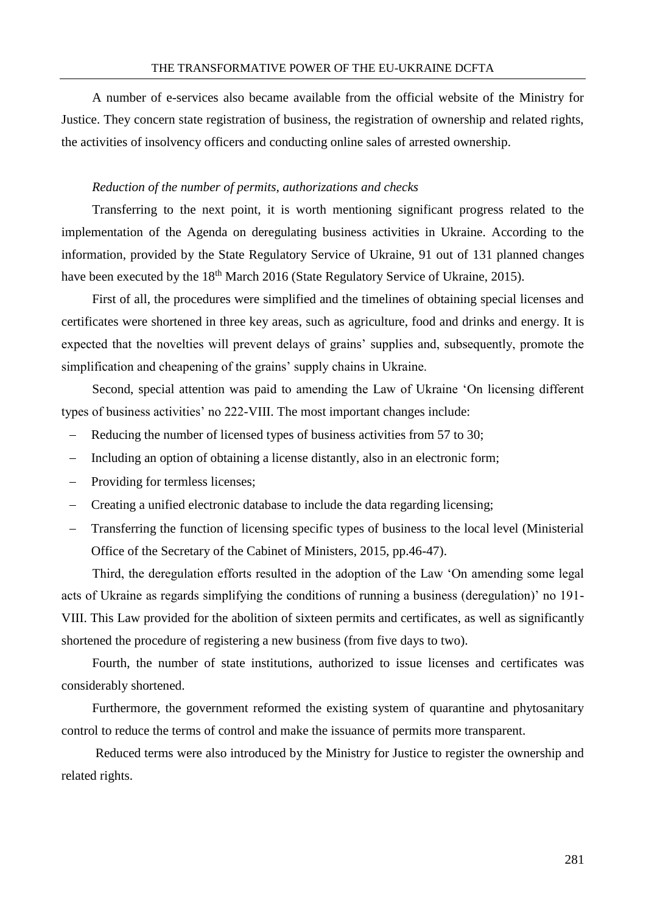A number of e-services also became available from the official website of the Ministry for Justice. They concern state registration of business, the registration of ownership and related rights, the activities of insolvency officers and conducting online sales of arrested ownership.

### *Reduction of the number of permits, authorizations and checks*

Transferring to the next point, it is worth mentioning significant progress related to the implementation of the Agenda on deregulating business activities in Ukraine. According to the information, provided by the State Regulatory Service of Ukraine, 91 out of 131 planned changes have been executed by the 18<sup>th</sup> March 2016 (State Regulatory Service of Ukraine, 2015).

First of all, the procedures were simplified and the timelines of obtaining special licenses and certificates were shortened in three key areas, such as agriculture, food and drinks and energy. It is expected that the novelties will prevent delays of grains' supplies and, subsequently, promote the simplification and cheapening of the grains' supply chains in Ukraine.

Second, special attention was paid to amending the Law of Ukraine 'On licensing different types of business activities' no 222-VIII. The most important changes include:

- Reducing the number of licensed types of business activities from 57 to 30;
- Including an option of obtaining a license distantly, also in an electronic form;
- Providing for termless licenses;
- Creating a unified electronic database to include the data regarding licensing;
- Transferring the function of licensing specific types of business to the local level (Ministerial Office of the Secretary of the Cabinet of Ministers, 2015, pp.46-47).

Third, the deregulation efforts resulted in the adoption of the Law 'On amending some legal acts of Ukraine as regards simplifying the conditions of running a business (deregulation)' no 191- VIII. This Law provided for the abolition of sixteen permits and certificates, as well as significantly shortened the procedure of registering a new business (from five days to two).

Fourth, the number of state institutions, authorized to issue licenses and certificates was considerably shortened.

Furthermore, the government reformed the existing system of quarantine and phytosanitary control to reduce the terms of control and make the issuance of permits more transparent.

Reduced terms were also introduced by the Ministry for Justice to register the ownership and related rights.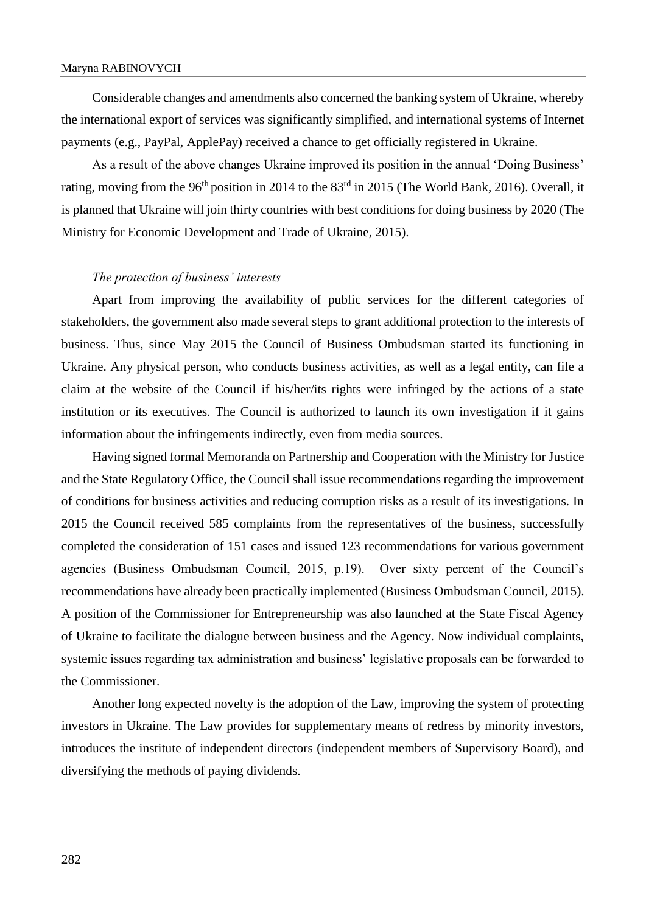Considerable changes and amendments also concerned the banking system of Ukraine, whereby the international export of services was significantly simplified, and international systems of Internet payments (e.g., PayPal, ApplePay) received a chance to get officially registered in Ukraine.

As a result of the above changes Ukraine improved its position in the annual 'Doing Business' rating, moving from the 96<sup>th</sup> position in 2014 to the 83<sup>rd</sup> in 2015 (The World Bank, 2016). Overall, it is planned that Ukraine will join thirty countries with best conditions for doing business by 2020 (The Ministry for Economic Development and Trade of Ukraine, 2015).

#### *The protection of business' interests*

Apart from improving the availability of public services for the different categories of stakeholders, the government also made several steps to grant additional protection to the interests of business. Thus, since May 2015 the Council of Business Ombudsman started its functioning in Ukraine. Any physical person, who conducts business activities, as well as a legal entity, can file a claim at the website of the Council if his/her/its rights were infringed by the actions of a state institution or its executives. The Council is authorized to launch its own investigation if it gains information about the infringements indirectly, even from media sources.

Having signed formal Memoranda on Partnership and Cooperation with the Ministry for Justice and the State Regulatory Office, the Council shall issue recommendations regarding the improvement of conditions for business activities and reducing corruption risks as a result of its investigations. In 2015 the Council received 585 complaints from the representatives of the business, successfully completed the consideration of 151 cases and issued 123 recommendations for various government agencies (Business Ombudsman Council, 2015, p.19). Over sixty percent of the Council's recommendations have already been practically implemented (Business Ombudsman Council, 2015). A position of the Commissioner for Entrepreneurship was also launched at the State Fiscal Agency of Ukraine to facilitate the dialogue between business and the Agency. Now individual complaints, systemic issues regarding tax administration and business' legislative proposals can be forwarded to the Commissioner.

Another long expected novelty is the adoption of the Law, improving the system of protecting investors in Ukraine. The Law provides for supplementary means of redress by minority investors, introduces the institute of independent directors (independent members of Supervisory Board), and diversifying the methods of paying dividends.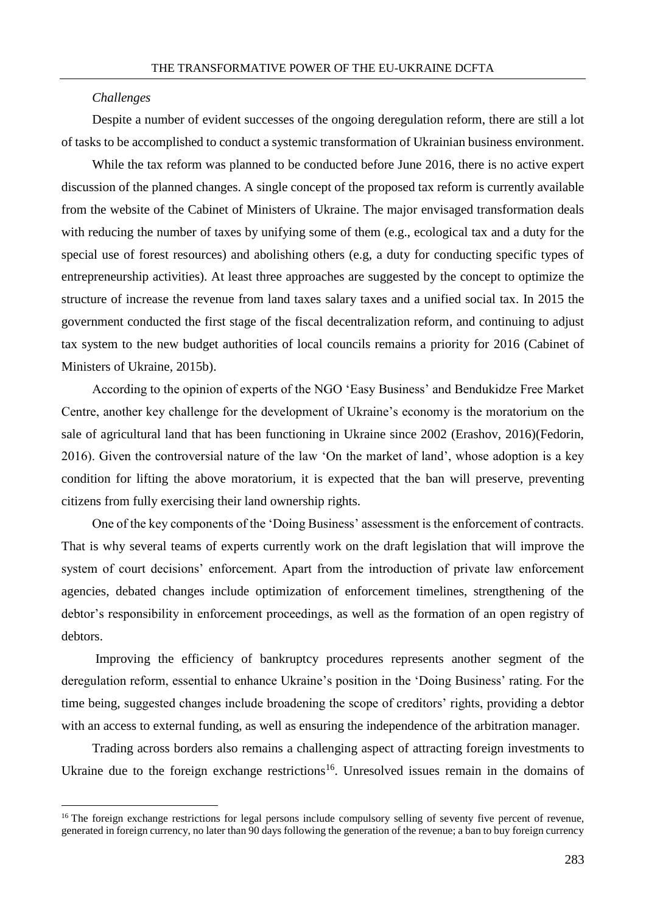#### *Challenges*

<u>.</u>

Despite a number of evident successes of the ongoing deregulation reform, there are still a lot of tasks to be accomplished to conduct a systemic transformation of Ukrainian business environment.

While the tax reform was planned to be conducted before June 2016, there is no active expert discussion of the planned changes. A single concept of the proposed tax reform is currently available from the website of the Cabinet of Ministers of Ukraine. The major envisaged transformation deals with reducing the number of taxes by unifying some of them (e.g., ecological tax and a duty for the special use of forest resources) and abolishing others (e.g, a duty for conducting specific types of entrepreneurship activities). At least three approaches are suggested by the concept to optimize the structure of increase the revenue from land taxes salary taxes and a unified social tax. In 2015 the government conducted the first stage of the fiscal decentralization reform, and continuing to adjust tax system to the new budget authorities of local councils remains a priority for 2016 (Cabinet of Ministers of Ukraine, 2015b).

According to the opinion of experts of the NGO 'Easy Business' and Bendukidze Free Market Centre, another key challenge for the development of Ukraine's economy is the moratorium on the sale of agricultural land that has been functioning in Ukraine since 2002 (Erashov, 2016)(Fedorin, 2016). Given the controversial nature of the law 'On the market of land', whose adoption is a key condition for lifting the above moratorium, it is expected that the ban will preserve, preventing citizens from fully exercising their land ownership rights.

One of the key components of the 'Doing Business' assessment is the enforcement of contracts. That is why several teams of experts currently work on the draft legislation that will improve the system of court decisions' enforcement. Apart from the introduction of private law enforcement agencies, debated changes include optimization of enforcement timelines, strengthening of the debtor's responsibility in enforcement proceedings, as well as the formation of an open registry of debtors.

Improving the efficiency of bankruptcy procedures represents another segment of the deregulation reform, essential to enhance Ukraine's position in the 'Doing Business' rating. For the time being, suggested changes include broadening the scope of creditors' rights, providing a debtor with an access to external funding, as well as ensuring the independence of the arbitration manager.

Trading across borders also remains a challenging aspect of attracting foreign investments to Ukraine due to the foreign exchange restrictions<sup>16</sup>. Unresolved issues remain in the domains of

 $16$  The foreign exchange restrictions for legal persons include compulsory selling of seventy five percent of revenue, generated in foreign currency, no later than 90 days following the generation of the revenue; a ban to buy foreign currency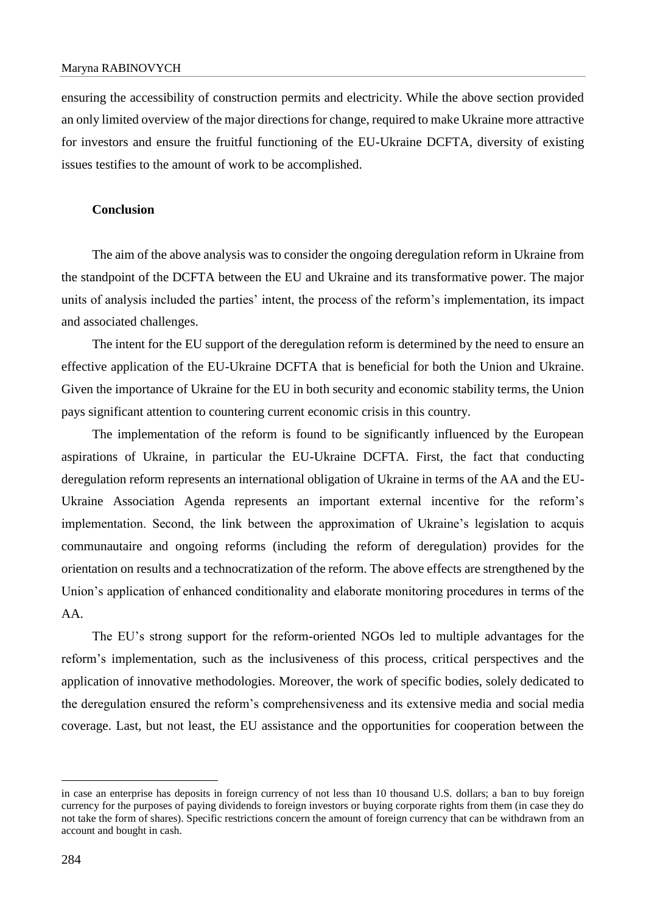#### Maryna RABINOVYCH

ensuring the accessibility of construction permits and electricity. While the above section provided an only limited overview of the major directions for change, required to make Ukraine more attractive for investors and ensure the fruitful functioning of the EU-Ukraine DCFTA, diversity of existing issues testifies to the amount of work to be accomplished.

## **Conclusion**

The aim of the above analysis was to consider the ongoing deregulation reform in Ukraine from the standpoint of the DCFTA between the EU and Ukraine and its transformative power. The major units of analysis included the parties' intent, the process of the reform's implementation, its impact and associated challenges.

The intent for the EU support of the deregulation reform is determined by the need to ensure an effective application of the EU-Ukraine DCFTA that is beneficial for both the Union and Ukraine. Given the importance of Ukraine for the EU in both security and economic stability terms, the Union pays significant attention to countering current economic crisis in this country.

The implementation of the reform is found to be significantly influenced by the European aspirations of Ukraine, in particular the EU-Ukraine DCFTA. First, the fact that conducting deregulation reform represents an international obligation of Ukraine in terms of the AA and the EU-Ukraine Association Agenda represents an important external incentive for the reform's implementation. Second, the link between the approximation of Ukraine's legislation to acquis communautaire and ongoing reforms (including the reform of deregulation) provides for the orientation on results and a technocratization of the reform. The above effects are strengthened by the Union's application of enhanced conditionality and elaborate monitoring procedures in terms of the AA.

The EU's strong support for the reform-oriented NGOs led to multiple advantages for the reform's implementation, such as the inclusiveness of this process, critical perspectives and the application of innovative methodologies. Moreover, the work of specific bodies, solely dedicated to the deregulation ensured the reform's comprehensiveness and its extensive media and social media coverage. Last, but not least, the EU assistance and the opportunities for cooperation between the

in case an enterprise has deposits in foreign currency of not less than 10 thousand U.S. dollars; a ban to buy foreign currency for the purposes of paying dividends to foreign investors or buying corporate rights from them (in case they do not take the form of shares). Specific restrictions concern the amount of foreign currency that can be withdrawn from an account and bought in cash.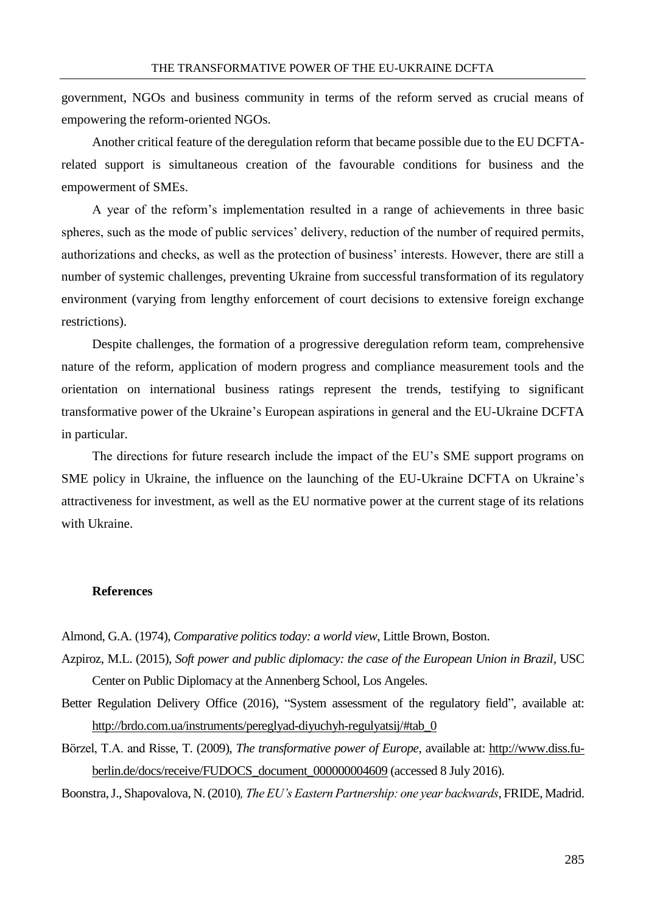government, NGOs and business community in terms of the reform served as crucial means of empowering the reform-oriented NGOs.

Another critical feature of the deregulation reform that became possible due to the EU DCFTArelated support is simultaneous creation of the favourable conditions for business and the empowerment of SMEs.

A year of the reform's implementation resulted in a range of achievements in three basic spheres, such as the mode of public services' delivery, reduction of the number of required permits, authorizations and checks, as well as the protection of business' interests. However, there are still a number of systemic challenges, preventing Ukraine from successful transformation of its regulatory environment (varying from lengthy enforcement of court decisions to extensive foreign exchange restrictions).

Despite challenges, the formation of a progressive deregulation reform team, comprehensive nature of the reform, application of modern progress and compliance measurement tools and the orientation on international business ratings represent the trends, testifying to significant transformative power of the Ukraine's European aspirations in general and the EU-Ukraine DCFTA in particular.

The directions for future research include the impact of the EU's SME support programs on SME policy in Ukraine, the influence on the launching of the EU-Ukraine DCFTA on Ukraine's attractiveness for investment, as well as the EU normative power at the current stage of its relations with Ukraine.

# **References**

Almond, G.A. (1974), *Comparative politics today: a world view*, Little Brown, Boston.

Azpiroz, M.L. (2015), *Soft power and public diplomacy: the case of the European Union in Brazil*, USC Center on Public Diplomacy at the Annenberg School, Los Angeles.

- Better Regulation Delivery Office (2016), "System assessment of the regulatory field"*,* available at: [http://brdo.com.ua/instruments/pereglyad-diyuchyh-regulyatsij/#tab\\_0](http://brdo.com.ua/instruments/pereglyad-diyuchyh-regulyatsij/#tab_0)
- Börzel, T.A. and Risse, T. (2009), *The transformative power of Europe,* available at: [http://www.diss.fu](http://www.diss.fu-berlin.de/docs/receive/FUDOCS_document_000000004609)[berlin.de/docs/receive/FUDOCS\\_document\\_000000004609](http://www.diss.fu-berlin.de/docs/receive/FUDOCS_document_000000004609) (accessed 8 July 2016).

Boonstra, J., Shapovalova, N. (2010)*, The EU's Eastern Partnership: one year backwards*, FRIDE, Madrid.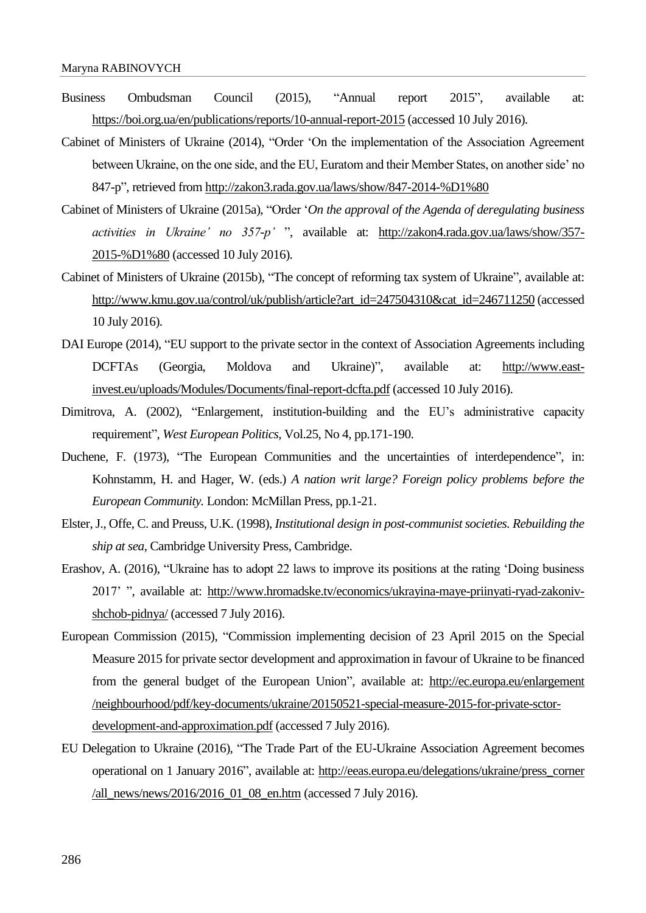- Business Ombudsman Council (2015), "Annual report 2015", available at: <https://boi.org.ua/en/publications/reports/10-annual-report-2015> (accessed 10 July 2016).
- Cabinet of Ministers of Ukraine (2014), "Order 'On the implementation of the Association Agreement between Ukraine, on the one side, and the EU, Euratom and their Member States, on another side' no 847-p", retrieved from [http://zakon3.rada.gov.ua/laws/show/847-2014-%D1%80](http://zakon3.rada.gov.ua/laws/show/847-2014-р)
- Cabinet of Ministers of Ukraine (2015a), "Order '*On the approval of the Agenda of deregulating business activities in Ukraine' no 357-p'* ", available at: [http://zakon4.rada.gov.ua/laws/show/357-](http://zakon4.rada.gov.ua/laws/show/357-2015-р) [2015-%D1%80](http://zakon4.rada.gov.ua/laws/show/357-2015-р) (accessed 10 July 2016).
- Cabinet of Ministers of Ukraine (2015b), "The concept of reforming tax system of Ukraine", available at: [http://www.kmu.gov.ua/control/uk/publish/article?art\\_id=247504310&cat\\_id=246711250](http://www.kmu.gov.ua/control/uk%20/publish/article?art_id=247504310&cat_id=246711250) (accessed 10 July 2016).
- DAI Europe (2014), "EU support to the private sector in the context of Association Agreements including DCFTAs (Georgia, Moldova and Ukraine)", available at: [http://www.east](http://www.east-invest.eu/uploads/Modules/Documents/final-report-dcfta.pdf)[invest.eu/uploads/Modules/Documents/final-report-dcfta.pdf](http://www.east-invest.eu/uploads/Modules/Documents/final-report-dcfta.pdf) (accessed 10 July 2016).
- Dimitrova, A. (2002), "Enlargement, institution-building and the EU's administrative capacity requirement", *West European Politics,* Vol.25, No 4, pp.171-190.
- Duchene, F. (1973), "The European Communities and the uncertainties of interdependence", in: Kohnstamm, H. and Hager, W. (eds.) *A nation writ large? Foreign policy problems before the European Community.* London: McMillan Press, pp.1-21.
- Elster, J., Offe, C. and Preuss, U.K. (1998), *Institutional design in post-communist societies. Rebuilding the ship at sea*, Cambridge University Press, Cambridge.
- Erashov, A. (2016), "Ukraine has to adopt 22 laws to improve its positions at the rating 'Doing business 2017' ", available at: [http://www.hromadske.tv/economics/ukrayina-maye-priinyati-ryad-zakoniv](http://www.hromadske.tv/economics/ukrayina-maye-priinyati-ryad-zakoniv-shchob-pidnya/)[shchob-pidnya/](http://www.hromadske.tv/economics/ukrayina-maye-priinyati-ryad-zakoniv-shchob-pidnya/) (accessed 7 July 2016).
- European Commission (2015), "Commission implementing decision of 23 April 2015 on the Special Measure 2015 for private sector development and approximation in favour of Ukraine to be financed from the general budget of the European Union", available at: [http://ec.europa.eu/enlargement](http://ec.europa.eu/enlargement/neighbourhood/pdf/key-documents/ukraine/%2020150521-special-measure-2015-for-private-sctor-development-and-approximation.pdf) [/neighbourhood/pdf/key-documents/ukraine/20150521-special-measure-2015-for-private-sctor](http://ec.europa.eu/enlargement/neighbourhood/pdf/key-documents/ukraine/%2020150521-special-measure-2015-for-private-sctor-development-and-approximation.pdf)[development-and-approximation.pdf](http://ec.europa.eu/enlargement/neighbourhood/pdf/key-documents/ukraine/%2020150521-special-measure-2015-for-private-sctor-development-and-approximation.pdf) (accessed 7 July 2016).
- EU Delegation to Ukraine (2016), "The Trade Part of the EU-Ukraine Association Agreement becomes operational on 1 January 2016", available at: [http://eeas.europa.eu/delegations/ukraine/press\\_corner](http://eeas.europa.eu/delegations/ukraine/press_corner/all_news/news/2016/2016_01_08_en.htm) [/all\\_news/news/2016/2016\\_01\\_08\\_en.htm](http://eeas.europa.eu/delegations/ukraine/press_corner/all_news/news/2016/2016_01_08_en.htm) (accessed 7 July 2016).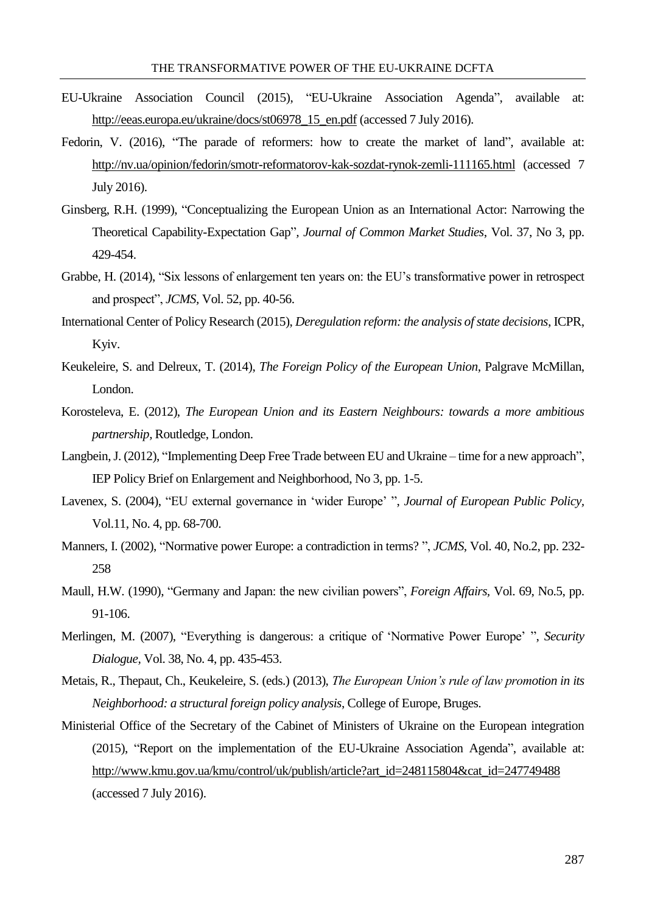- EU-Ukraine Association Council (2015), "EU-Ukraine Association Agenda", available at: [http://eeas.europa.eu/ukraine/docs/st06978\\_15\\_en.pdf](http://eeas.europa.eu/ukraine/docs/st06978_15_en.pdf) (accessed 7 July 2016).
- Fedorin, V. (2016), "The parade of reformers: how to create the market of land"*,* available at: <http://nv.ua/opinion/fedorin/smotr-reformatorov-kak-sozdat-rynok-zemli-111165.html> (accessed 7 July 2016).
- Ginsberg, R.H. (1999), "Conceptualizing the European Union as an International Actor: Narrowing the Theoretical Capability-Expectation Gap"*, Journal of Common Market Studies*, Vol. 37, No 3, pp. 429-454.
- Grabbe, H. (2014), "Six lessons of enlargement ten years on: the EU's transformative power in retrospect and prospect", *JCMS,* Vol. 52, pp. 40-56.
- International Center of Policy Research (2015), *Deregulation reform: the analysis of state decisions*, ICPR, Kyiv.
- Keukeleire, S. and Delreux, T. (2014), *The Foreign Policy of the European Union*, Palgrave McMillan, London.
- Korosteleva, E. (2012), *The European Union and its Eastern Neighbours: towards a more ambitious partnership,* Routledge, London.
- Langbein, J. (2012), "Implementing Deep Free Trade between EU and Ukraine time for a new approach", IEP Policy Brief on Enlargement and Neighborhood, No 3, pp. 1-5.
- Lavenex, S. (2004), "EU external governance in 'wider Europe' ", *Journal of European Public Policy,* Vol.11, No. 4, pp. 68-700.
- Manners, I. (2002), "Normative power Europe: a contradiction in terms? ", *JCMS*, Vol. 40, No.2, pp. 232- 258
- Maull, H.W. (1990), "Germany and Japan: the new civilian powers", *Foreign Affairs,* Vol. 69, No.5, pp. 91-106.
- Merlingen, M. (2007), "Everything is dangerous: a critique of 'Normative Power Europe' ", *Security Dialogue,* Vol. 38, No. 4, pp. 435-453.
- Metais, R., Thepaut, Ch., Keukeleire, S. (eds.) (2013), *The European Union's rule of law promotion in its Neighborhood: a structural foreign policy analysis*, College of Europe, Bruges.
- Ministerial Office of the Secretary of the Cabinet of Ministers of Ukraine on the European integration (2015), "Report on the implementation of the EU-Ukraine Association Agenda", available at: [http://www.kmu.gov.ua/kmu/control/uk/publish/article?art\\_id=248115804&cat\\_id=247749488](http://www.kmu.gov.ua/kmu/control/uk/publish/article?art_id=248115804&cat_id=247749488) (accessed 7 July 2016).